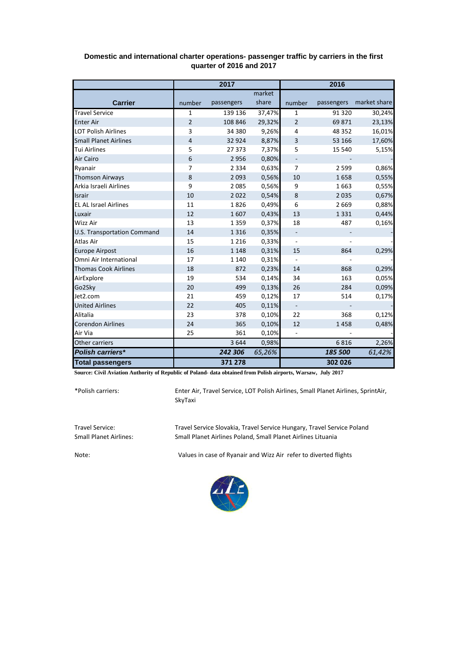|                                    | 2017           |            |        | 2016                     |            |              |
|------------------------------------|----------------|------------|--------|--------------------------|------------|--------------|
|                                    |                |            | market |                          |            |              |
| <b>Carrier</b>                     | number         | passengers | share  | number                   | passengers | market share |
| <b>Travel Service</b>              | $\mathbf{1}$   | 139 136    | 37,47% | 1                        | 91 3 20    | 30,24%       |
| <b>Enter Air</b>                   | $\overline{2}$ | 108 846    | 29,32% | $\overline{2}$           | 69871      | 23,13%       |
| <b>LOT Polish Airlines</b>         | 3              | 34 380     | 9,26%  | 4                        | 48 352     | 16,01%       |
| <b>Small Planet Airlines</b>       | $\overline{4}$ | 32 9 24    | 8,87%  | 3                        | 53 166     | 17,60%       |
| <b>Tui Airlines</b>                | 5              | 27 373     | 7,37%  | 5                        | 15 540     | 5,15%        |
| Air Cairo                          | 6              | 2956       | 0,80%  |                          |            |              |
| Ryanair                            | 7              | 2 3 3 4    | 0,63%  | $\overline{7}$           | 2 5 9 9    | 0,86%        |
| <b>Thomson Airways</b>             | 8              | 2093       | 0,56%  | 10                       | 1658       | 0,55%        |
| Arkia Israeli Airlines             | 9              | 2085       | 0,56%  | 9                        | 1663       | 0,55%        |
| <b>Israir</b>                      | 10             | 2022       | 0,54%  | $\bf 8$                  | 2 0 3 5    | 0,67%        |
| <b>EL AL Israel Airlines</b>       | 11             | 1826       | 0,49%  | 6                        | 2 6 6 9    | 0,88%        |
| Luxair                             | 12             | 1607       | 0,43%  | 13                       | 1 3 3 1    | 0,44%        |
| Wizz Air                           | 13             | 1 3 5 9    | 0,37%  | 18                       | 487        | 0,16%        |
| <b>U.S. Transportation Command</b> | 14             | 1 3 1 6    | 0,35%  | $\blacksquare$           |            |              |
| Atlas Air                          | 15             | 1 2 1 6    | 0,33%  | $\overline{\phantom{a}}$ |            |              |
| <b>Europe Airpost</b>              | 16             | 1 1 4 8    | 0,31%  | 15                       | 864        | 0,29%        |
| Omni Air International             | 17             | 1 1 4 0    | 0,31%  |                          |            |              |
| <b>Thomas Cook Airlines</b>        | 18             | 872        | 0,23%  | 14                       | 868        | 0,29%        |
| AirExplore                         | 19             | 534        | 0,14%  | 34                       | 163        | 0,05%        |
| Go2Sky                             | 20             | 499        | 0,13%  | 26                       | 284        | 0,09%        |
| Jet2.com                           | 21             | 459        | 0,12%  | 17                       | 514        | 0,17%        |
| <b>United Airlines</b>             | 22             | 405        | 0,11%  | $\blacksquare$           |            |              |
| Alitalia                           | 23             | 378        | 0,10%  | 22                       | 368        | 0,12%        |
| <b>Corendon Airlines</b>           | 24             | 365        | 0,10%  | 12                       | 1458       | 0,48%        |
| Air Via                            | 25             | 361        | 0,10%  |                          |            |              |
| Other carriers                     |                | 3644       | 0,98%  |                          | 6816       | 2,26%        |
| Polish carriers*                   |                | 242 306    | 65,26% |                          | 185 500    | 61,42%       |
| <b>Total passengers</b>            |                | 371 278    |        |                          | 302 026    |              |

## **Domestic and international charter operations- passenger traffic by carriers in the first quarter of 2016 and 2017**

**Source: Civil Aviation Authority of Republic of Poland- data obtained from Polish airports, Warsaw, July 2017**

\*Polish carriers:

Enter Air, Travel Service, LOT Polish Airlines, Small Planet Airlines, SprintAir, SkyTaxi

Travel Service: Travel Service Slovakia, Travel Service Hungary, Travel Service Poland Small Planet Airlines Poland, Small Planet Airlines Lituania

Note: Values in case of Ryanair and Wizz Air refer to diverted flights